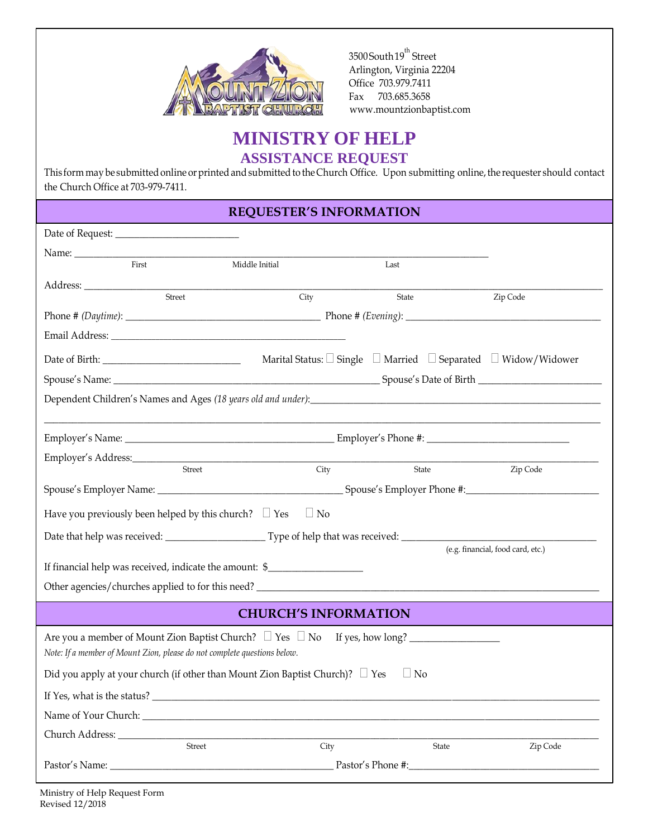

3500 South 19<sup>th</sup> Street Arlington, Virginia 22204 Office 703.979.7411 Fax 703.685.3658 [www.mountzionbaptist.com](http://www.mountzionbaptist.com/)

## **MINISTRY OF HELP ASSISTANCE REQUEST**

This form may be submitted online or printed and submitted to the Church Office. Upon submitting online, the requester should contact the Church Office at 703-979-7411.

## **REQUESTER'S INFORMATION**

| First                                                                                           | Middle Initial | Last  |                                   |  |  |
|-------------------------------------------------------------------------------------------------|----------------|-------|-----------------------------------|--|--|
| Street                                                                                          | City           | State | Zip Code                          |  |  |
|                                                                                                 |                |       |                                   |  |  |
|                                                                                                 |                |       |                                   |  |  |
|                                                                                                 |                |       |                                   |  |  |
|                                                                                                 |                |       |                                   |  |  |
|                                                                                                 |                |       |                                   |  |  |
|                                                                                                 |                |       |                                   |  |  |
|                                                                                                 |                |       |                                   |  |  |
|                                                                                                 |                |       |                                   |  |  |
|                                                                                                 |                |       |                                   |  |  |
| Street                                                                                          | City           | State | Zip Code                          |  |  |
|                                                                                                 |                |       |                                   |  |  |
| $\Box$ No<br>Have you previously been helped by this church? $\Box$ Yes                         |                |       |                                   |  |  |
|                                                                                                 |                |       |                                   |  |  |
|                                                                                                 |                |       | (e.g. financial, food card, etc.) |  |  |
| If financial help was received, indicate the amount: \$__________________________               |                |       |                                   |  |  |
|                                                                                                 |                |       |                                   |  |  |
| <b>CHURCH'S INFORMATION</b>                                                                     |                |       |                                   |  |  |
| Note: If a member of Mount Zion, please do not complete questions below.                        |                |       |                                   |  |  |
| Did you apply at your church (if other than Mount Zion Baptist Church)? $\Box$ Yes<br>$\Box$ No |                |       |                                   |  |  |
| If Yes, what is the status? __                                                                  |                |       |                                   |  |  |
| Name of Your Church:                                                                            |                |       |                                   |  |  |
|                                                                                                 |                |       |                                   |  |  |
| Street                                                                                          | City           | State | Zip Code                          |  |  |
| Pastor's Name:                                                                                  |                |       |                                   |  |  |